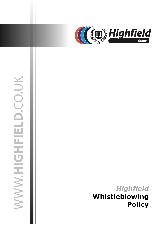

# WWW.HIGHFIELD.CO.UK

03 July 2019 jasonsprenger

# *Highfield* **Whistleblowing Policy**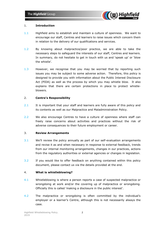

# 1. **Introduction**

- 1.1 Highfield aims to establish and maintain a culture of openness. We want to encourage our staff, Centres and learners to raise issues which concern them in relation to the delivery of our qualifications and services.
- 1.2 By knowing about malpractice/poor practice, we are able to take the necessary steps to safeguard the interests of our staff, Centres and learners. In summary, do not hesitate to get in touch with us and 'speak up' or 'blow the whistle'.
- 1.3 However, we recognise that you may be worried that by reporting such issues you may be subject to some adverse action. Therefore, this policy is designed to provide you with information about the Public Interest Disclosure Act (PIDA) as well as the process by which you may whistle blow. It also explains that there are certain protections in place to protect whistleblowers.

# 2. **Centre's Responsibility**

- 2.1 It is important that your staff and learners are fully aware of this policy and its contents as well as our Malpractice and Maladministration Policy.
- 2.2 We also encourage Centres to have a culture of openness where staff can freely raise concerns about activities and practices without the risk of adverse consequences to their future employment or career.

# 3. **Review Arrangements**

- 3.1 We'll review the policy annually as part of our self-evaluation arrangements and revise it as and when necessary in response to external feedback, trends from our internal monitoring arrangements, changes in our practices, actions from the regulatory authorities or external agencies or changes in legislation.
- 3.2 If you would like to offer feedback on anything contained within this policy document, please contact us via the details provided at the end.

# 4. **What is whistleblowing?**

- 4.1 Whistleblowing is where a person reports a case of suspected malpractice or wrongdoing at work and/or the covering up of malpractice or wrongdoing. Officially this is called 'making a disclosure in the public interest'.
- 4.2 The malpractice or wrongdoing is often committed by the individual's employer or a learner's Centre, although this is not necessarily always the case.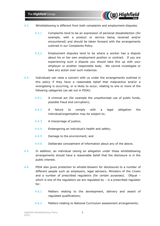

- 4.3 Whistleblowing is different from both complaints and employment disputes.
	- 4.3.1 Complaints tend to be an expression of personal dissatisfaction (for example, with a product or service being received and/or encountered) and should be taken forward with the arrangements outlined in our Complaints Policy.
	- 4.3.2 Employment disputes tend to be where a worker has a dispute about his or her own employment position or contract. If you are experiencing such a dispute you should take this up with your employer or another responsible body. We cannot investigate or take any action over such instances.
- 4.4 Individuals can raise a concern with us under the arrangements outlined in this policy if they have a reasonable belief that malpractice and/or a wrongdoing is occurring, or is likely to occur, relating to one or more of the following categories (as set out in PIDA):
	- 4.4.1 A criminal act (for example the unauthorised use of public funds, possible fraud and corruption);
	- 4.4.2 A failure to comply with a legal obligation the individual/organisation may be subject to;
	- 4.4.3 A miscarriage of justice;
	- 4.4.4 Endangering an individual's health and safety;
	- 4.4.5 Damage to the environment; and
	- 4.4.6 Deliberate concealment of information about any of the above.
- 4.5 In addition, an individual raising an allegation under these whistleblowing arrangements should have a reasonable belief that the disclosure is in the public interest.
- 4.6 PIDA also gives protection to whistle-blowers for disclosures to a number of different people such as employers, legal advisers, Ministers of the Crown and a number of prescribed regulators (for certain purposes). Ofgual which is one of the regulators we are regulated by  $-$  is a prescribed regulator for:
	- 4.6.1 Matters relating to the development, delivery and award of regulated qualifications;
	- 4.6.2 Matters relating to National Curriculum assessment arrangements;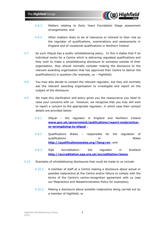

- 4.6.3 Matters relating to Early Years Foundation Stage assessment arrangements; and
- 4.6.4 Other matters likely to be of relevance or interest to their role as the regulator of qualifications, examinations and assessments in England and of vocational qualifications in Northern Ireland.
- 4.7 As such Ofqual has a public whistleblowing policy. In this it states that if an individual works for a Centre which is delivering regulated qualifications and they wish to make a whistleblowing disclosure to someone outside of their organisation, they should normally consider making the disclosure to the relevant awarding organisation that has approved their Centre to deliver the qualification(s) in question (for example, us – Highfield).
- 4.8 You may also decide to contact the relevant regulator, but they will normally ask the relevant awarding organisation to investigate and report on the subject of the disclosure.
- 4.9 We hope this clarification and policy gives you the reassurance you need to raise your concerns with us. However, we recognise that you may still wish to report a concern to the appropriate regulator, in which case their contact details are provided below:
	- 4.9.1 Ofqual the regulator in England and Northern Ireland **[www.gov.uk/government/publications/report-malpractice](http://www.gov.uk/government/publications/report-malpractice-or-wrongdoing-to-ofqual)[or-wrongdoing-to-ofqual](http://www.gov.uk/government/publications/report-malpractice-or-wrongdoing-to-ofqual)** ;
	- 4.9.2 Qualifications Wales responsible for the regulation of qualifications in Wales **<http://qualificationswales.org/?lang=en>** ;and
	- 4.9.3 SQA Accreditation– the regulator in Scotland **<http://accreditation.sqa.org.uk/accreditation/home>**.
- 4.10 Examples of whistleblowing disclosures that could be made to us include:
	- 4.10.1 A member of staff at a Centre making a disclosure about actual or possible malpractice at the Centre and/or failure to comply with the terms of the Centre's centre-recognition agreement with us (see our Malpractice and Maladministration Policy for examples);
	- 4.10.2 Making a disclosure about possible malpractice being carried out by a member of Highfield; or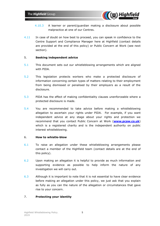

- 4.10.3 A learner or parent/guardian making a disclosure about possible malpractice at one of our Centres.
- 4.11 In case of doubt on how best to proceed, you can speak in confidence to the Centre Support and Compliance Manager here at Highfield (contact details are provided at the end of this policy) or Public Concern at Work (see next section).

# 5. **Seeking independent advice**

- 5.1 This document sets out our whistleblowing arrangements which are aligned with PIDA.
- 5.2 This legislation protects workers who make a protected disclosure of information concerning certain types of matters relating to their employment from being dismissed or penalised by their employers as a result of the disclosure.
- 5.3 PIDA has the effect of making confidentiality clauses unenforceable where a protected disclosure is made.
- 5.4 You are recommended to take advice before making a whistleblowing allegation to ascertain your rights under PIDA. For example, if you want independent advice at any stage about your rights and protection we recommend that you contact Public Concern at Work (**[www.pcaw.co.uk](http://www.pcaw.co.uk/)**) which is a registered charity and is the independent authority on public interest whistleblowing.

### 6. **How to whistle-blow**

- 6.1 To raise an allegation under these whistleblowing arrangements please contact a member of the Highfield team (contact details are at the end of this policy).
- 6.2 Upon making an allegation it is helpful to provide as much information and supporting evidence as possible to help inform the nature of any investigation we will carry out.
- 6.3 Although it is important to note that it is not essential to have clear evidence before making an allegation under this policy, we just ask that you explain as fully as you can the nature of the allegation or circumstances that gave rise to your concern.

# 7. **Protecting your identity**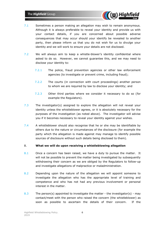

- 7.1 Sometimes a person making an allegation may wish to remain anonymous. Although it is always preferable to reveal your identity and provide us with your contact details, if you are concerned about possible adverse consequences that may occur should your identify be revealed to another party, then please inform us that you do not wish for us to divulge your identity and we will work to ensure your details are not disclosed.
- 7.2 We will always aim to keep a whistle-blower's identity confidential where asked to do so. However, we cannot guarantee this, and we may need to disclose your identity to:
	- 7.2.1 The police, fraud prevention agencies or other law enforcement agencies (to investigate or prevent crime, including fraud);
	- 7.2.2 The courts (in connection with court proceedings) another person to whom we are required by law to disclose your identity; and
	- 7.2.3 Other third parties where we consider it necessary to do so (for example the Regulators).
- 7.3 The investigator(s) assigned to explore the allegation will not reveal your identity unless the whistleblower agrees, or it is absolutely necessary for the purposes of the investigation (as noted above). The investigator will advise you if it becomes necessary to reveal your identity against your wishes.
- 7.4 A whistleblower should also recognise that he or she may be identifiable by others due to the nature or circumstances of the disclosure (for example the party which the allegation is made against may manage to identify possible sources of disclosure without such details being disclosed to them).

# 8. **What we will do upon receiving a whistleblowing allegation**

- 8.1 Once a concern has been raised, we have a duty to pursue the matter. It will not be possible to prevent the matter being investigated by subsequently withdrawing their concern as we are obliged by the Regulators to follow-up and investigate allegations of malpractice or maladministration.
- 8.2 Depending upon the nature of the allegation we will appoint someone to investigate the allegation who has the appropriate level of training and competence and who has not had any previous involvement or personal interest in the matter.
- 8.3 The person(s) appointed to investigate the matter the investigator(s) may contact/meet with the person who raised the concern (the whistleblower) as soon as possible to ascertain the details of their concern. If the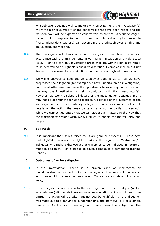

whistleblower does not wish to make a written statement, the investigator(s) will write a brief summary of the concern(s) that have been raised and the whistleblower will be expected to confirm this as correct. A work colleague, trade union representative or another individual (for example friend/independent witness) can accompany the whistleblower at this and any subsequent meeting.

- 8.4 The investigator will then conduct an investigation to establish the facts in accordance with the arrangements in our Maladministration and Malpractice Policy. Highfield can only investigate areas that are within Highfield's remit, to be determined at Highfield's absolute discretion. Examples include but not limited to; assessments, examinations and delivery of Highfield provisions.
- 8.5 We will endeavour to keep the whistleblower updated as to how we have progressed the allegation (for example we have undertaken an investigation) and the whistleblower will have the opportunity to raise any concerns about the way the investigation is being conducted with the investigator(s). However, we won't disclose all details of the investigation activities and it may not be appropriate for us to disclose full details of the outcomes of the investigation due to confidentiality or legal reasons (for example disclose full details on the action that may be taken against the parties concerned). While we cannot guarantee that we will disclose all matters in the way that the whistleblower might wish, we will strive to handle the matter fairly and properly.

# 9. **Bad Faith**

9.1 It is important that issues raised to us are genuine concerns. Please note that Highfield reserves the right to take action against a Centre and/or individual who make a disclosure that transpires to be malicious in nature or made in bad faith. (For example, to cause damage to a competing training Centre).

# 10. **Outcomes of an investigation**

- 10.1 If the investigation results in a proven case of malpractice or maladministration we will take action against the relevant parties in accordance with the arrangements in our Malpractice and Maladministration Policy.
- 10.2 If the allegation is not proven by the investigation, provided that you (as the whistleblower) did not deliberately raise an allegation which you knew to be untrue, no action will be taken against you by Highfield. If the allegation was made due to a genuine misunderstanding, the individual(s) (for example Centre or Centre staff member) who have been the subject of the